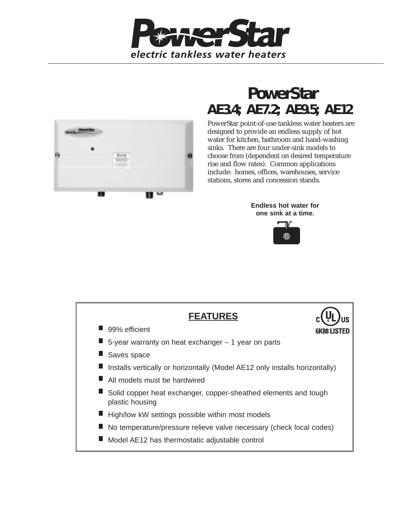



## **PowerStar AE3.4; AE7.2; AE9.5; AE12**

PowerStar point-of-use tankless water heaters are designed to provide an endless supply of hot water for kitchen, bathroom and hand-washing sinks. There are four under-sink models to choose from (dependent on desired temperature rise and flow rates). Common applications include: homes, offices, warehouses, service stations, stores and concession stands.

> **Endless hot water for one sink at a time.**